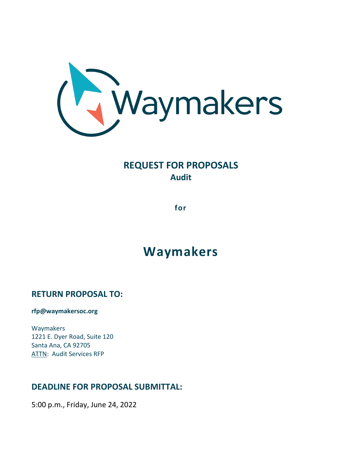

# **REQUEST FOR PROPOSALS Audit**

**for**

# **Waymakers**

# **RETURN PROPOSAL TO:**

**rfp@waymakersoc.org**

Waymakers 1221 E. Dyer Road, Suite 120 Santa Ana, CA 92705 ATTN: Audit Services RFP

# **DEADLINE FOR PROPOSAL SUBMITTAL:**

5:00 p.m., Friday, June 24, 2022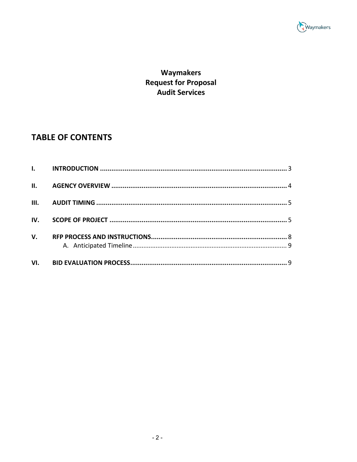

# Waymakers **Request for Proposal** -<br>Audit Services

# **TABLE OF CONTENTS**

| VI.          |  |
|--------------|--|
| $V_{\cdot}$  |  |
|              |  |
| $\mathbf{I}$ |  |
| III.         |  |
|              |  |
|              |  |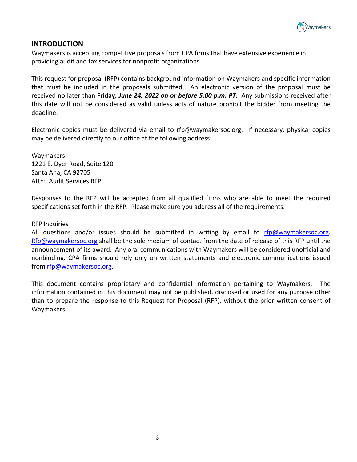

### **INTRODUCTION**

Waymakers is accepting competitive proposals from CPA firms that have extensive experience in providing audit and tax services for nonprofit organizations.

This request for proposal (RFP) contains background information on Waymakers and specific information that must be included in the proposals submitted. An electronic version of the proposal must be received no later than **Friday***, June 24, 2022 on or before 5:00 p.m. PT*. Any submissions received after this date will not be considered as valid unless acts of nature prohibit the bidder from meeting the deadline.

Electronic copies must be delivered via email to rfp@waymakersoc.org. If necessary, physical copies may be delivered directly to our office at the following address:

Waymakers 1221 E. Dyer Road, Suite 120 Santa Ana, CA 92705 Attn: Audit Services RFP

Responses to the RFP will be accepted from all qualified firms who are able to meet the required specifications set forth in the RFP. Please make sure you address all of the requirements.

#### RFP Inquiries

All questions and/or issues should be submitted in writing by email to [rfp@waymakersoc.org.](mailto:rfp@waymakersoc.org) [Rfp@waymakersoc.org](mailto:Rfp@waymakersoc.org) shall be the sole medium of contact from the date of release of this RFP until the announcement of its award. Any oral communications with Waymakers will be considered unofficial and nonbinding. CPA firms should rely only on written statements and electronic communications issued from [rfp@waymakersoc.org.](mailto:rfp@waymakersoc.org)

This document contains proprietary and confidential information pertaining to Waymakers. The information contained in this document may not be published, disclosed or used for any purpose other than to prepare the response to this Request for Proposal (RFP), without the prior written consent of Waymakers.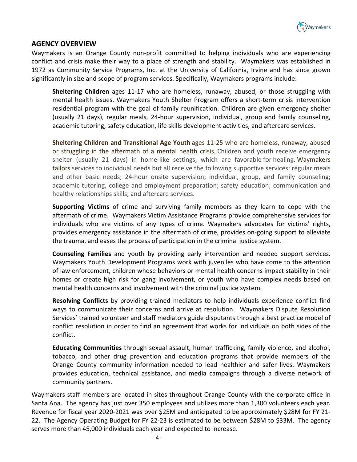

### **AGENCY OVERVIEW**

Waymakers is an Orange County non-profit committed to helping individuals who are experiencing conflict and crisis make their way to a place of strength and stability. Waymakers was established in 1972 as Community Service Programs, Inc. at the University of California, Irvine and has since grown significantly in size and scope of program services. Specifically, Waymakers programs include:

**Sheltering Children** ages 11-17 who are homeless, runaway, abused, or those struggling with mental health issues. Waymakers Youth Shelter Program offers a short-term crisis intervention residential program with the goal of family reunification. Children are given emergency shelter (usually 21 days), regular meals, 24-hour supervision, individual, group and family counseling, academic tutoring, safety education, life skills development activities, and aftercare services.

**Sheltering Children and Transitional Age Youth** ages 11-25 who are homeless, runaway, abused or struggling in the aftermath of a mental health crisis. Children and youth receive emergency shelter (usually 21 days) in home-like settings, which are favorable for healing. Waymakers tailors services to individual needs but all receive the following supportive services: regular meals and other basic needs; 24-hour onsite supervision; individual, group, and family counseling; academic tutoring, college and employment preparation; safety education; communication and healthy relationships skills; and aftercare services.

**Supporting Victims** of crime and surviving family members as they learn to cope with the aftermath of crime. Waymakers Victim Assistance Programs provide comprehensive services for individuals who are victims of any types of crime. Waymakers advocates for victims' rights, provides emergency assistance in the aftermath of crime, provides on-going support to alleviate the trauma, and eases the process of participation in the criminal justice system.

**Counseling Families** and youth by providing early intervention and needed support services. Waymakers Youth Development Programs work with juveniles who have come to the attention of law enforcement, children whose behaviors or mental health concerns impact stability in their homes or create high risk for gang involvement, or youth who have complex needs based on mental health concerns and involvement with the criminal justice system.

**Resolving Conflicts** by providing trained mediators to help individuals experience conflict find ways to communicate their concerns and arrive at resolution. Waymakers Dispute Resolution Services' trained volunteer and staff mediators guide disputants through a best practice model of conflict resolution in order to find an agreement that works for individuals on both sides of the conflict.

**Educating Communities** through sexual assault, human trafficking, family violence, and alcohol, tobacco, and other drug prevention and education programs that provide members of the Orange County community information needed to lead healthier and safer lives. Waymakers provides education, technical assistance, and media campaigns through a diverse network of community partners.

Waymakers staff members are located in sites throughout Orange County with the corporate office in Santa Ana. The agency has just over 350 employees and utilizes more than 1,300 volunteers each year. Revenue for fiscal year 2020-2021 was over \$25M and anticipated to be approximately \$28M for FY 21- 22. The Agency Operating Budget for FY 22-23 is estimated to be between \$28M to \$33M. The agency serves more than 45,000 individuals each year and expected to increase.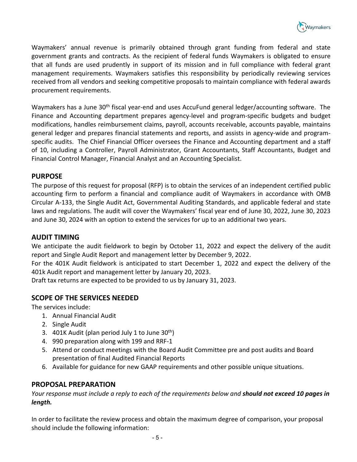

Waymakers' annual revenue is primarily obtained through grant funding from federal and state government grants and contracts. As the recipient of federal funds Waymakers is obligated to ensure that all funds are used prudently in support of its mission and in full compliance with federal grant management requirements. Waymakers satisfies this responsibility by periodically reviewing services received from all vendors and seeking competitive proposals to maintain compliance with federal awards procurement requirements.

Waymakers has a June 30<sup>th</sup> fiscal year-end and uses AccuFund general ledger/accounting software. The Finance and Accounting department prepares agency-level and program-specific budgets and budget modifications, handles reimbursement claims, payroll, accounts receivable, accounts payable, maintains general ledger and prepares financial statements and reports, and assists in agency-wide and programspecific audits. The Chief Financial Officer oversees the Finance and Accounting department and a staff of 10, including a Controller, Payroll Administrator, Grant Accountants, Staff Accountants, Budget and Financial Control Manager, Financial Analyst and an Accounting Specialist.

# **PURPOSE**

The purpose of this request for proposal (RFP) is to obtain the services of an independent certified public accounting firm to perform a financial and compliance audit of Waymakers in accordance with OMB Circular A-133, the Single Audit Act, Governmental Auditing Standards, and applicable federal and state laws and regulations. The audit will cover the Waymakers' fiscal year end of June 30, 2022, June 30, 2023 and June 30, 2024 with an option to extend the services for up to an additional two years.

#### **AUDIT TIMING**

We anticipate the audit fieldwork to begin by October 11, 2022 and expect the delivery of the audit report and Single Audit Report and management letter by December 9, 2022.

For the 401K Audit fieldwork is anticipated to start December 1, 2022 and expect the delivery of the 401k Audit report and management letter by January 20, 2023.

Draft tax returns are expected to be provided to us by January 31, 2023.

# **SCOPE OF THE SERVICES NEEDED**

The services include:

- 1. Annual Financial Audit
- 2. Single Audit
- 3. 401K Audit (plan period July 1 to June  $30<sup>th</sup>$ )
- 4. 990 preparation along with 199 and RRF-1
- 5. Attend or conduct meetings with the Board Audit Committee pre and post audits and Board presentation of final Audited Financial Reports
- 6. Available for guidance for new GAAP requirements and other possible unique situations.

#### **PROPOSAL PREPARATION**

*Your response must include a reply to each of the requirements below and should not exceed 10 pages in length.*

In order to facilitate the review process and obtain the maximum degree of comparison, your proposal should include the following information: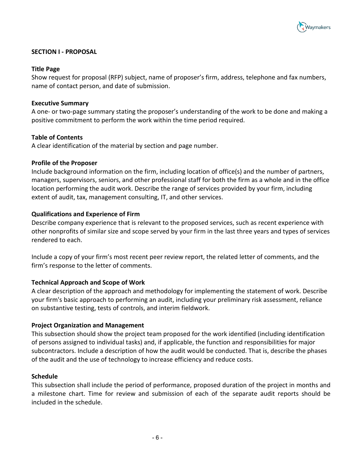

#### **SECTION I - PROPOSAL**

#### **Title Page**

Show request for proposal (RFP) subject, name of proposer's firm, address, telephone and fax numbers, name of contact person, and date of submission.

#### **Executive Summary**

A one- or two-page summary stating the proposer's understanding of the work to be done and making a positive commitment to perform the work within the time period required.

#### **Table of Contents**

A clear identification of the material by section and page number.

#### **Profile of the Proposer**

Include background information on the firm, including location of office(s) and the number of partners, managers, supervisors, seniors, and other professional staff for both the firm as a whole and in the office location performing the audit work. Describe the range of services provided by your firm, including extent of audit, tax, management consulting, IT, and other services.

#### **Qualifications and Experience of Firm**

Describe company experience that is relevant to the proposed services, such as recent experience with other nonprofits of similar size and scope served by your firm in the last three years and types of services rendered to each.

Include a copy of your firm's most recent peer review report, the related letter of comments, and the firm's response to the letter of comments.

#### **Technical Approach and Scope of Work**

A clear description of the approach and methodology for implementing the statement of work. Describe your firm's basic approach to performing an audit, including your preliminary risk assessment, reliance on substantive testing, tests of controls, and interim fieldwork.

#### **Project Organization and Management**

This subsection should show the project team proposed for the work identified (including identification of persons assigned to individual tasks) and, if applicable, the function and responsibilities for major subcontractors. Include a description of how the audit would be conducted. That is, describe the phases of the audit and the use of technology to increase efficiency and reduce costs.

#### **Schedule**

This subsection shall include the period of performance, proposed duration of the project in months and a milestone chart. Time for review and submission of each of the separate audit reports should be included in the schedule.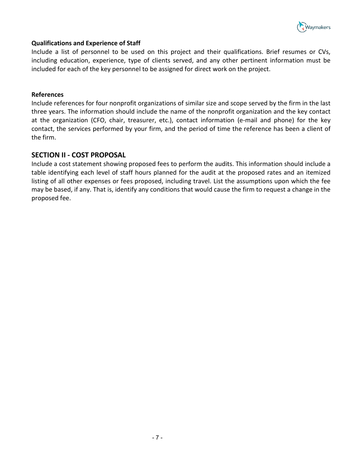

#### **Qualifications and Experience of Staff**

Include a list of personnel to be used on this project and their qualifications. Brief resumes or CVs, including education, experience, type of clients served, and any other pertinent information must be included for each of the key personnel to be assigned for direct work on the project.

#### **References**

Include references for four nonprofit organizations of similar size and scope served by the firm in the last three years. The information should include the name of the nonprofit organization and the key contact at the organization (CFO, chair, treasurer, etc.), contact information (e-mail and phone) for the key contact, the services performed by your firm, and the period of time the reference has been a client of the firm.

# **SECTION II - COST PROPOSAL**

Include a cost statement showing proposed fees to perform the audits. This information should include a table identifying each level of staff hours planned for the audit at the proposed rates and an itemized listing of all other expenses or fees proposed, including travel. List the assumptions upon which the fee may be based, if any. That is, identify any conditions that would cause the firm to request a change in the proposed fee.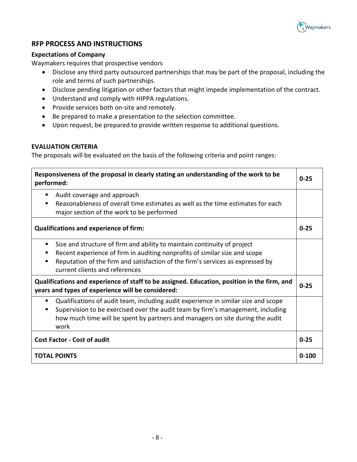

# **RFP PROCESS AND INSTRUCTIONS**

#### **Expectations of Company**

Waymakers requires that prospective vendors

- Disclose any third party outsourced partnerships that may be part of the proposal, including the role and terms of such partnerships.
- Disclose pending litigation or other factors that might impede implementation of the contract.
- Understand and comply with HIPPA regulations.
- Provide services both on-site and remotely.
- Be prepared to make a presentation to the selection committee.
- Upon request, be prepared to provide written response to additional questions.

#### **EVALUATION CRITERIA**

The proposals will be evaluated on the basis of the following criteria and point ranges:

| Responsiveness of the proposal in clearly stating an understanding of the work to be<br>performed:                                                                                                                                                                              |  |  |
|---------------------------------------------------------------------------------------------------------------------------------------------------------------------------------------------------------------------------------------------------------------------------------|--|--|
| Audit coverage and approach<br>٠<br>Reasonableness of overall time estimates as well as the time estimates for each<br>major section of the work to be performed                                                                                                                |  |  |
| <b>Qualifications and experience of firm:</b>                                                                                                                                                                                                                                   |  |  |
| Size and structure of firm and ability to maintain continuity of project<br>٠<br>Recent experience of firm in auditing nonprofits of similar size and scope<br>Reputation of the firm and satisfaction of the firm's services as expressed by<br>current clients and references |  |  |
| Qualifications and experience of staff to be assigned. Education, position in the firm, and<br>years and types of experience will be considered:                                                                                                                                |  |  |
| Qualifications of audit team, including audit experience in similar size and scope<br>Supervision to be exercised over the audit team by firm's management, including<br>п<br>how much time will be spent by partners and managers on site during the audit<br>work             |  |  |
| <b>Cost Factor - Cost of audit</b>                                                                                                                                                                                                                                              |  |  |
| <b>TOTAL POINTS</b>                                                                                                                                                                                                                                                             |  |  |